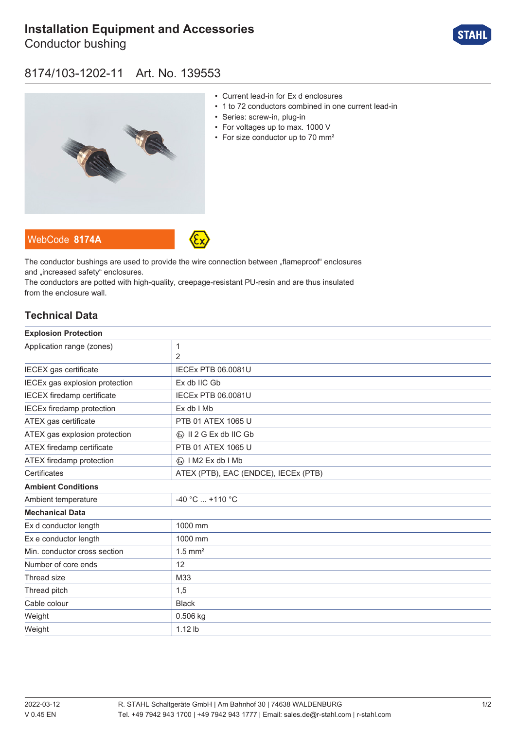# **[Installation Equipment and Accessories](https://r-stahl.com/en/global/products/materialid/139553)**

Conductor bushing



### 8174/103-1202-11 Art. No. 139553



- Current lead-in for Ex d enclosures
- 1 to 72 conductors combined in one current lead-in
- Series: screw-in, plug-in
- For voltages up to max. 1000 V
- For size conductor up to 70 mm<sup>2</sup>

WebCode **[8174A](https://r-stahl.com/en/global/products/downloads/webcode/8174A)**



The conductor bushings are used to provide the wire connection between "flameproof" enclosures and .increased safety" enclosures.

The conductors are potted with high-quality, creepage-resistant PU-resin and are thus insulated from the enclosure wall.

#### **Technical Data**

| <b>Explosion Protection</b>       |                                         |
|-----------------------------------|-----------------------------------------|
| Application range (zones)         | 1                                       |
|                                   | 2                                       |
| IECEX gas certificate             | <b>IECEX PTB 06.0081U</b>               |
| IECEx gas explosion protection    | Ex db IIC Gb                            |
| <b>IECEX</b> firedamp certificate | <b>IECEx PTB 06.0081U</b>               |
| <b>IECEx firedamp protection</b>  | Ex db I Mb                              |
| ATEX gas certificate              | PTB 01 ATEX 1065 U                      |
| ATEX gas explosion protection     | $\langle x \rangle$ II 2 G Ex db IIC Gb |
| ATEX firedamp certificate         | PTB 01 ATEX 1065 U                      |
| ATEX firedamp protection          | $\langle x \rangle$   M2 Ex db   Mb     |
| Certificates                      | ATEX (PTB), EAC (ENDCE), IECEx (PTB)    |
| <b>Ambient Conditions</b>         |                                         |
| Ambient temperature               | -40 °C  +110 °C                         |
| <b>Mechanical Data</b>            |                                         |
| Ex d conductor length             | 1000 mm                                 |
| Ex e conductor length             | 1000 mm                                 |
| Min. conductor cross section      | $1.5$ mm <sup>2</sup>                   |
| Number of core ends               | 12                                      |
| Thread size                       | M33                                     |
| Thread pitch                      | 1,5                                     |
| Cable colour                      | <b>Black</b>                            |
| Weight                            | 0.506 kg                                |
| Weight                            | 1.12 lb                                 |